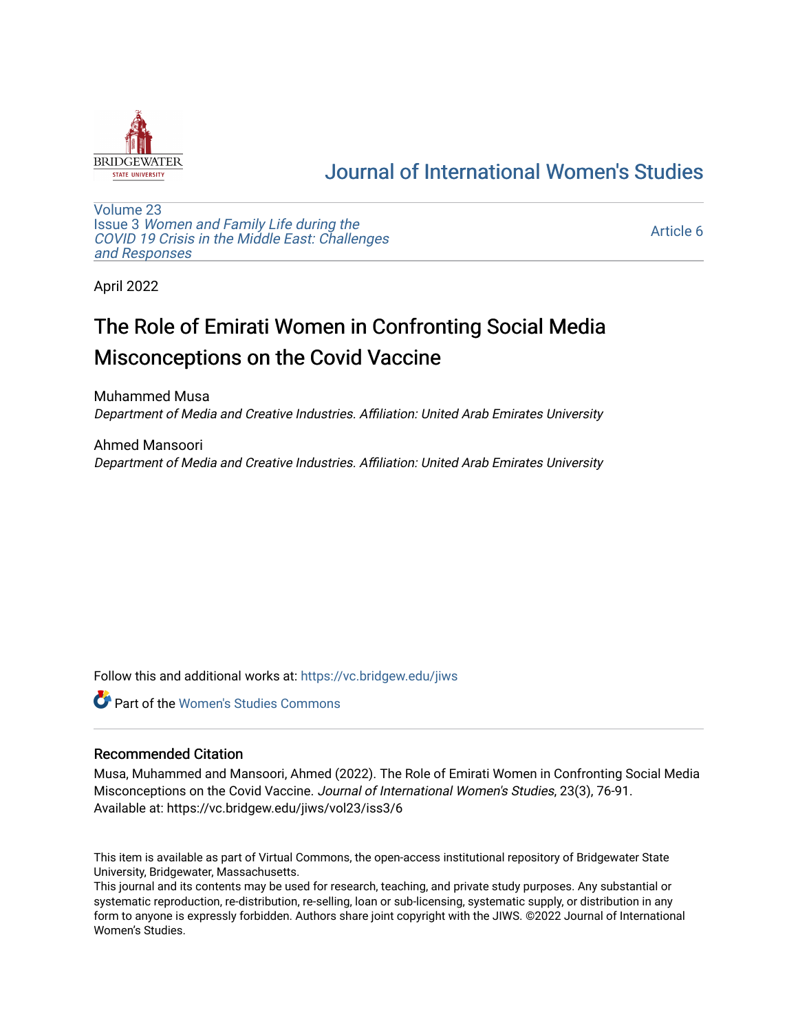

# [Journal of International Women's Studies](https://vc.bridgew.edu/jiws)

[Volume 23](https://vc.bridgew.edu/jiws/vol23) Issue 3 [Women and Family Life during the](https://vc.bridgew.edu/jiws/vol23/iss3)  [COVID 19 Crisis in the Middle East: Challenges](https://vc.bridgew.edu/jiws/vol23/iss3) [and Responses](https://vc.bridgew.edu/jiws/vol23/iss3) 

[Article 6](https://vc.bridgew.edu/jiws/vol23/iss3/6) 

April 2022

# The Role of Emirati Women in Confronting Social Media Misconceptions on the Covid Vaccine

Muhammed Musa Department of Media and Creative Industries. Affiliation: United Arab Emirates University

Ahmed Mansoori Department of Media and Creative Industries. Affiliation: United Arab Emirates University

Follow this and additional works at: [https://vc.bridgew.edu/jiws](https://vc.bridgew.edu/jiws?utm_source=vc.bridgew.edu%2Fjiws%2Fvol23%2Fiss3%2F6&utm_medium=PDF&utm_campaign=PDFCoverPages)

**Part of the Women's Studies Commons** 

#### Recommended Citation

Musa, Muhammed and Mansoori, Ahmed (2022). The Role of Emirati Women in Confronting Social Media Misconceptions on the Covid Vaccine. Journal of International Women's Studies, 23(3), 76-91. Available at: https://vc.bridgew.edu/jiws/vol23/iss3/6

This item is available as part of Virtual Commons, the open-access institutional repository of Bridgewater State University, Bridgewater, Massachusetts.

This journal and its contents may be used for research, teaching, and private study purposes. Any substantial or systematic reproduction, re-distribution, re-selling, loan or sub-licensing, systematic supply, or distribution in any form to anyone is expressly forbidden. Authors share joint copyright with the JIWS. ©2022 Journal of International Women's Studies.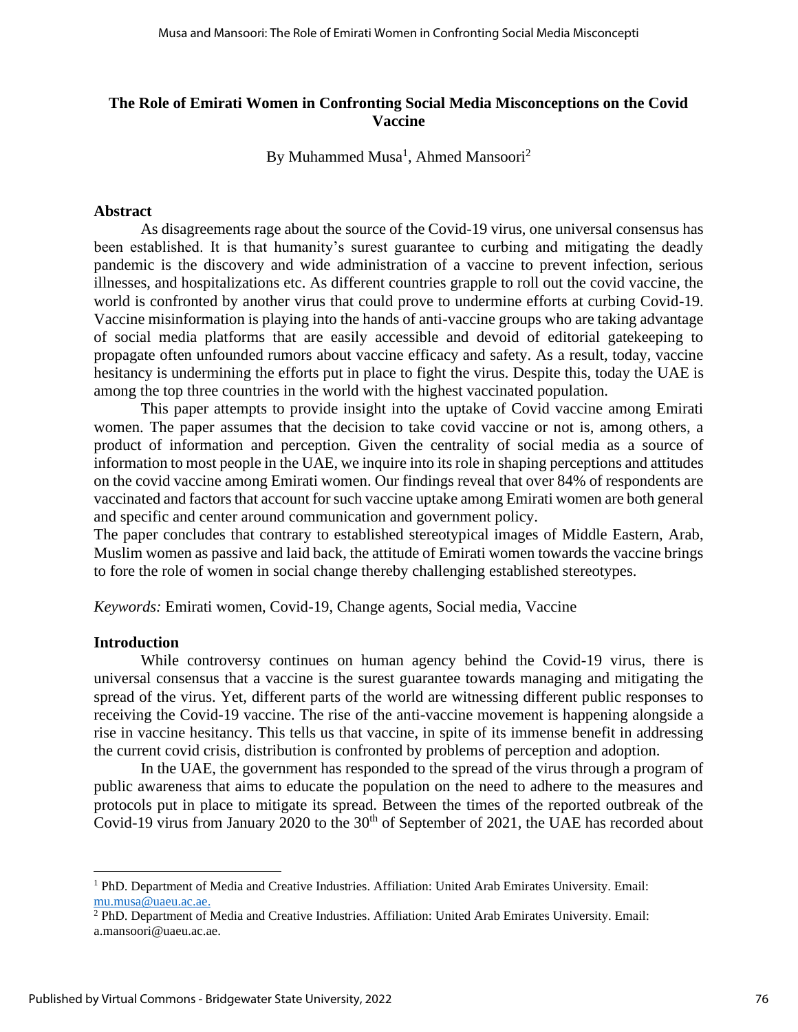# **The Role of Emirati Women in Confronting Social Media Misconceptions on the Covid Vaccine**

By Muhammed Musa<sup>1</sup>, Ahmed Mansoori<sup>2</sup>

#### **Abstract**

As disagreements rage about the source of the Covid-19 virus, one universal consensus has been established. It is that humanity's surest guarantee to curbing and mitigating the deadly pandemic is the discovery and wide administration of a vaccine to prevent infection, serious illnesses, and hospitalizations etc. As different countries grapple to roll out the covid vaccine, the world is confronted by another virus that could prove to undermine efforts at curbing Covid-19. Vaccine misinformation is playing into the hands of anti-vaccine groups who are taking advantage of social media platforms that are easily accessible and devoid of editorial gatekeeping to propagate often unfounded rumors about vaccine efficacy and safety. As a result, today, vaccine hesitancy is undermining the efforts put in place to fight the virus. Despite this, today the UAE is among the top three countries in the world with the highest vaccinated population.

This paper attempts to provide insight into the uptake of Covid vaccine among Emirati women. The paper assumes that the decision to take covid vaccine or not is, among others, a product of information and perception. Given the centrality of social media as a source of information to most people in the UAE, we inquire into its role in shaping perceptions and attitudes on the covid vaccine among Emirati women. Our findings reveal that over 84% of respondents are vaccinated and factors that account for such vaccine uptake among Emirati women are both general and specific and center around communication and government policy.

The paper concludes that contrary to established stereotypical images of Middle Eastern, Arab, Muslim women as passive and laid back, the attitude of Emirati women towards the vaccine brings to fore the role of women in social change thereby challenging established stereotypes.

*Keywords:* Emirati women, Covid-19, Change agents, Social media, Vaccine

#### **Introduction**

While controversy continues on human agency behind the Covid-19 virus, there is universal consensus that a vaccine is the surest guarantee towards managing and mitigating the spread of the virus. Yet, different parts of the world are witnessing different public responses to receiving the Covid-19 vaccine. The rise of the anti-vaccine movement is happening alongside a rise in vaccine hesitancy. This tells us that vaccine, in spite of its immense benefit in addressing the current covid crisis, distribution is confronted by problems of perception and adoption.

In the UAE, the government has responded to the spread of the virus through a program of public awareness that aims to educate the population on the need to adhere to the measures and protocols put in place to mitigate its spread. Between the times of the reported outbreak of the Covid-19 virus from January 2020 to the  $30<sup>th</sup>$  of September of 2021, the UAE has recorded about

<sup>1</sup> PhD. Department of Media and Creative Industries. Affiliation: United Arab Emirates University. Email: [mu.musa@uaeu.ac.ae.](mailto:mu.musa@uaeu.ac.ae)

<sup>2</sup> PhD. Department of Media and Creative Industries. Affiliation: United Arab Emirates University. Email: a.mansoori@uaeu.ac.ae.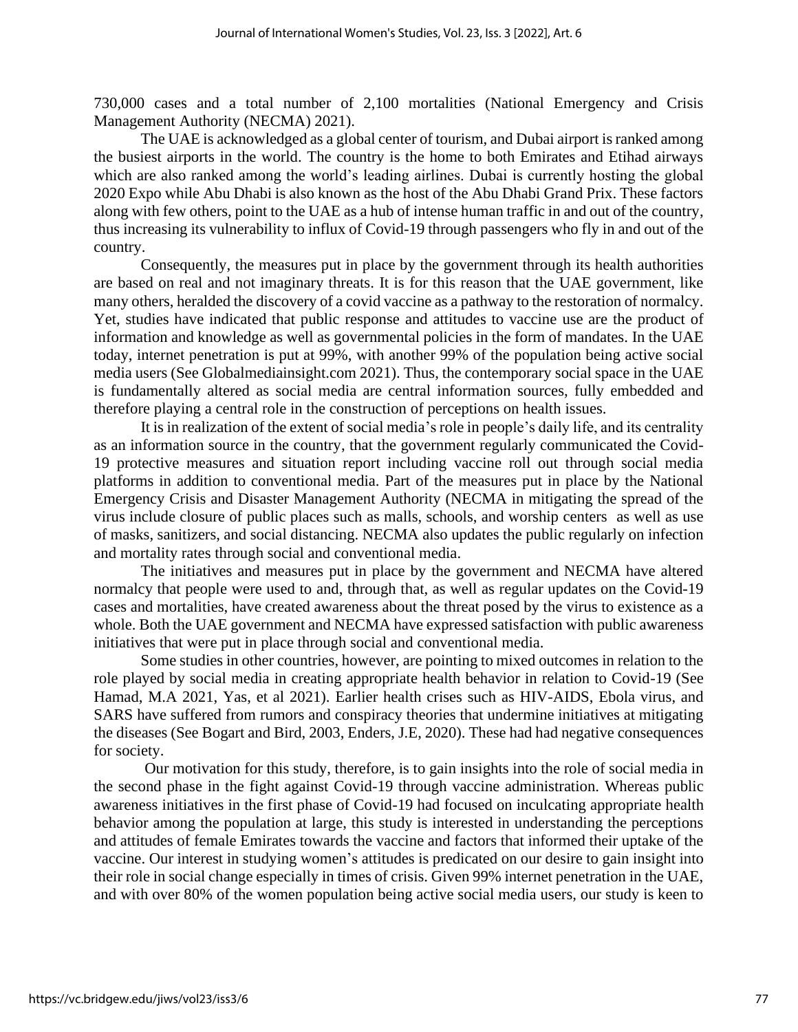730,000 cases and a total number of 2,100 mortalities (National Emergency and Crisis Management Authority (NECMA) 2021).

The UAE is acknowledged as a global center of tourism, and Dubai airport is ranked among the busiest airports in the world. The country is the home to both Emirates and Etihad airways which are also ranked among the world's leading airlines. Dubai is currently hosting the global 2020 Expo while Abu Dhabi is also known as the host of the Abu Dhabi Grand Prix. These factors along with few others, point to the UAE as a hub of intense human traffic in and out of the country, thus increasing its vulnerability to influx of Covid-19 through passengers who fly in and out of the country.

Consequently, the measures put in place by the government through its health authorities are based on real and not imaginary threats. It is for this reason that the UAE government, like many others, heralded the discovery of a covid vaccine as a pathway to the restoration of normalcy. Yet, studies have indicated that public response and attitudes to vaccine use are the product of information and knowledge as well as governmental policies in the form of mandates. In the UAE today, internet penetration is put at 99%, with another 99% of the population being active social media users (See Globalmediainsight.com 2021). Thus, the contemporary social space in the UAE is fundamentally altered as social media are central information sources, fully embedded and therefore playing a central role in the construction of perceptions on health issues.

It is in realization of the extent of social media's role in people's daily life, and its centrality as an information source in the country, that the government regularly communicated the Covid-19 protective measures and situation report including vaccine roll out through social media platforms in addition to conventional media. Part of the measures put in place by the National Emergency Crisis and Disaster Management Authority (NECMA in mitigating the spread of the virus include closure of public places such as malls, schools, and worship centers as well as use of masks, sanitizers, and social distancing. NECMA also updates the public regularly on infection and mortality rates through social and conventional media.

The initiatives and measures put in place by the government and NECMA have altered normalcy that people were used to and, through that, as well as regular updates on the Covid-19 cases and mortalities, have created awareness about the threat posed by the virus to existence as a whole. Both the UAE government and NECMA have expressed satisfaction with public awareness initiatives that were put in place through social and conventional media.

Some studies in other countries, however, are pointing to mixed outcomes in relation to the role played by social media in creating appropriate health behavior in relation to Covid-19 (See Hamad, M.A 2021, Yas, et al 2021). Earlier health crises such as HIV-AIDS, Ebola virus, and SARS have suffered from rumors and conspiracy theories that undermine initiatives at mitigating the diseases (See Bogart and Bird, 2003, Enders, J.E, 2020). These had had negative consequences for society.

Our motivation for this study, therefore, is to gain insights into the role of social media in the second phase in the fight against Covid-19 through vaccine administration. Whereas public awareness initiatives in the first phase of Covid-19 had focused on inculcating appropriate health behavior among the population at large, this study is interested in understanding the perceptions and attitudes of female Emirates towards the vaccine and factors that informed their uptake of the vaccine. Our interest in studying women's attitudes is predicated on our desire to gain insight into their role in social change especially in times of crisis. Given 99% internet penetration in the UAE, and with over 80% of the women population being active social media users, our study is keen to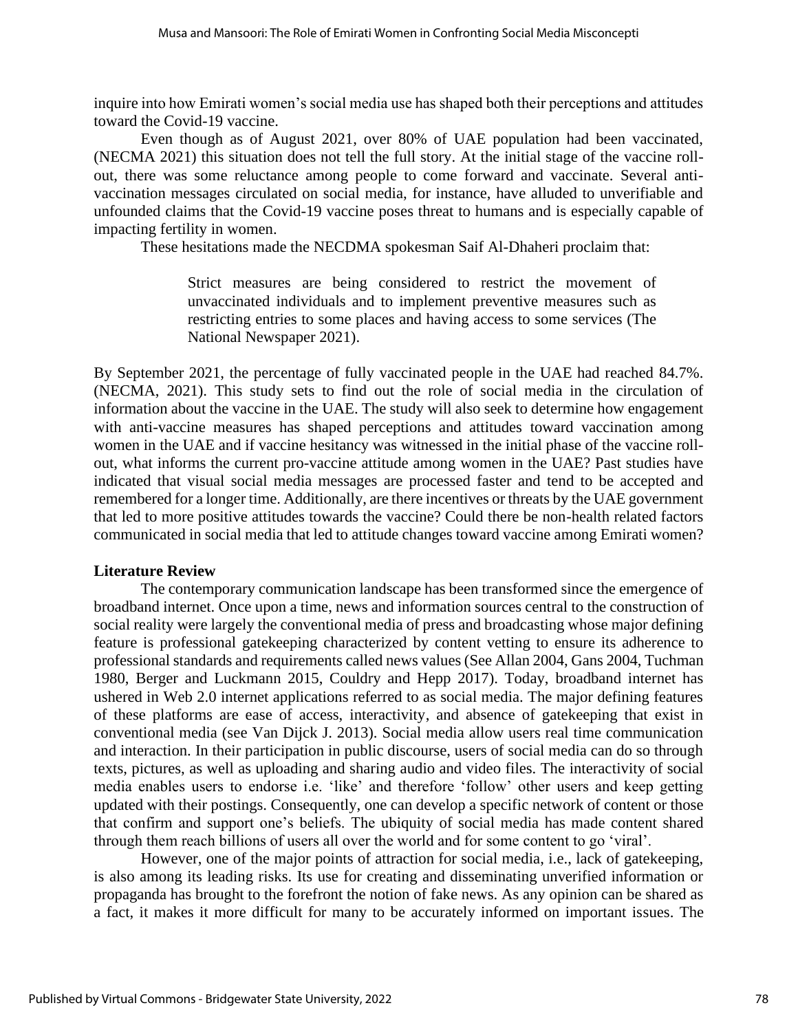inquire into how Emirati women's social media use has shaped both their perceptions and attitudes toward the Covid-19 vaccine.

Even though as of August 2021, over 80% of UAE population had been vaccinated, (NECMA 2021) this situation does not tell the full story. At the initial stage of the vaccine rollout, there was some reluctance among people to come forward and vaccinate. Several antivaccination messages circulated on social media, for instance, have alluded to unverifiable and unfounded claims that the Covid-19 vaccine poses threat to humans and is especially capable of impacting fertility in women.

These hesitations made the NECDMA spokesman Saif Al-Dhaheri proclaim that:

Strict measures are being considered to restrict the movement of unvaccinated individuals and to implement preventive measures such as restricting entries to some places and having access to some services (The National Newspaper 2021).

By September 2021, the percentage of fully vaccinated people in the UAE had reached 84.7%. (NECMA, 2021). This study sets to find out the role of social media in the circulation of information about the vaccine in the UAE. The study will also seek to determine how engagement with anti-vaccine measures has shaped perceptions and attitudes toward vaccination among women in the UAE and if vaccine hesitancy was witnessed in the initial phase of the vaccine rollout, what informs the current pro-vaccine attitude among women in the UAE? Past studies have indicated that visual social media messages are processed faster and tend to be accepted and remembered for a longer time. Additionally, are there incentives or threats by the UAE government that led to more positive attitudes towards the vaccine? Could there be non-health related factors communicated in social media that led to attitude changes toward vaccine among Emirati women?

# **Literature Review**

The contemporary communication landscape has been transformed since the emergence of broadband internet. Once upon a time, news and information sources central to the construction of social reality were largely the conventional media of press and broadcasting whose major defining feature is professional gatekeeping characterized by content vetting to ensure its adherence to professional standards and requirements called news values (See Allan 2004, Gans 2004, Tuchman 1980, Berger and Luckmann 2015, Couldry and Hepp 2017). Today, broadband internet has ushered in Web 2.0 internet applications referred to as social media. The major defining features of these platforms are ease of access, interactivity, and absence of gatekeeping that exist in conventional media (see Van Dijck J. 2013). Social media allow users real time communication and interaction. In their participation in public discourse, users of social media can do so through texts, pictures, as well as uploading and sharing audio and video files. The interactivity of social media enables users to endorse i.e. 'like' and therefore 'follow' other users and keep getting updated with their postings. Consequently, one can develop a specific network of content or those that confirm and support one's beliefs. The ubiquity of social media has made content shared through them reach billions of users all over the world and for some content to go 'viral'.

However, one of the major points of attraction for social media, i.e., lack of gatekeeping, is also among its leading risks. Its use for creating and disseminating unverified information or propaganda has brought to the forefront the notion of fake news. As any opinion can be shared as a fact, it makes it more difficult for many to be accurately informed on important issues. The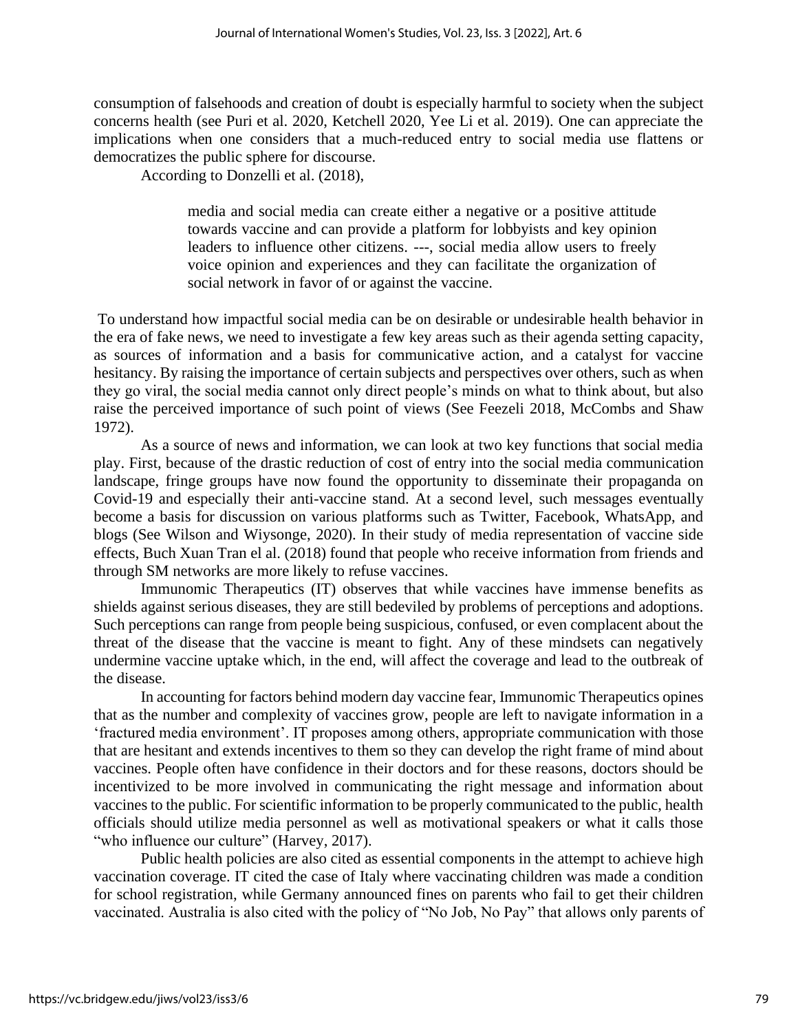consumption of falsehoods and creation of doubt is especially harmful to society when the subject concerns health (see Puri et al. 2020, Ketchell 2020, Yee Li et al. 2019). One can appreciate the implications when one considers that a much-reduced entry to social media use flattens or democratizes the public sphere for discourse.

According to Donzelli et al. (2018),

media and social media can create either a negative or a positive attitude towards vaccine and can provide a platform for lobbyists and key opinion leaders to influence other citizens. ---, social media allow users to freely voice opinion and experiences and they can facilitate the organization of social network in favor of or against the vaccine.

To understand how impactful social media can be on desirable or undesirable health behavior in the era of fake news, we need to investigate a few key areas such as their agenda setting capacity, as sources of information and a basis for communicative action, and a catalyst for vaccine hesitancy. By raising the importance of certain subjects and perspectives over others, such as when they go viral, the social media cannot only direct people's minds on what to think about, but also raise the perceived importance of such point of views (See Feezeli 2018, McCombs and Shaw 1972).

As a source of news and information, we can look at two key functions that social media play. First, because of the drastic reduction of cost of entry into the social media communication landscape, fringe groups have now found the opportunity to disseminate their propaganda on Covid-19 and especially their anti-vaccine stand. At a second level, such messages eventually become a basis for discussion on various platforms such as Twitter, Facebook, WhatsApp, and blogs (See Wilson and Wiysonge, 2020). In their study of media representation of vaccine side effects, Buch Xuan Tran el al. (2018) found that people who receive information from friends and through SM networks are more likely to refuse vaccines.

Immunomic Therapeutics (IT) observes that while vaccines have immense benefits as shields against serious diseases, they are still bedeviled by problems of perceptions and adoptions. Such perceptions can range from people being suspicious, confused, or even complacent about the threat of the disease that the vaccine is meant to fight. Any of these mindsets can negatively undermine vaccine uptake which, in the end, will affect the coverage and lead to the outbreak of the disease.

In accounting for factors behind modern day vaccine fear, Immunomic Therapeutics opines that as the number and complexity of vaccines grow, people are left to navigate information in a 'fractured media environment'. IT proposes among others, appropriate communication with those that are hesitant and extends incentives to them so they can develop the right frame of mind about vaccines. People often have confidence in their doctors and for these reasons, doctors should be incentivized to be more involved in communicating the right message and information about vaccines to the public. For scientific information to be properly communicated to the public, health officials should utilize media personnel as well as motivational speakers or what it calls those "who influence our culture" (Harvey, 2017).

Public health policies are also cited as essential components in the attempt to achieve high vaccination coverage. IT cited the case of Italy where vaccinating children was made a condition for school registration, while Germany announced fines on parents who fail to get their children vaccinated. Australia is also cited with the policy of "No Job, No Pay" that allows only parents of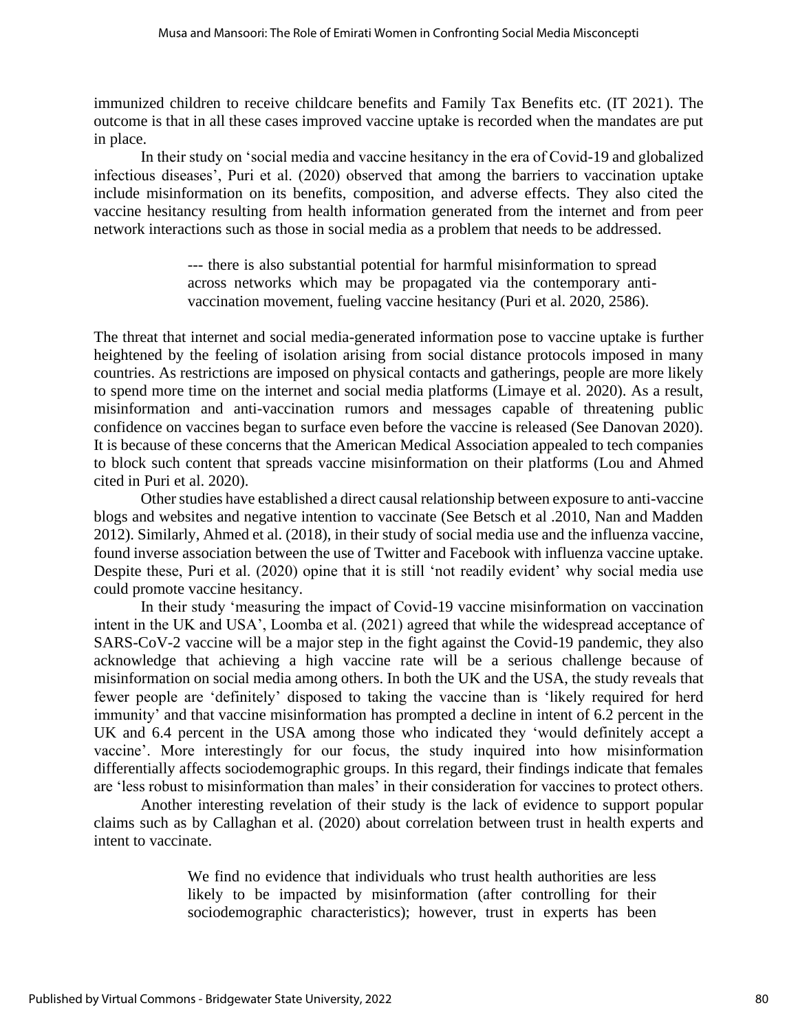immunized children to receive childcare benefits and Family Tax Benefits etc. (IT 2021). The outcome is that in all these cases improved vaccine uptake is recorded when the mandates are put in place.

In their study on 'social media and vaccine hesitancy in the era of Covid-19 and globalized infectious diseases', Puri et al. (2020) observed that among the barriers to vaccination uptake include misinformation on its benefits, composition, and adverse effects. They also cited the vaccine hesitancy resulting from health information generated from the internet and from peer network interactions such as those in social media as a problem that needs to be addressed.

> --- there is also substantial potential for harmful misinformation to spread across networks which may be propagated via the contemporary antivaccination movement, fueling vaccine hesitancy (Puri et al. 2020, 2586).

The threat that internet and social media-generated information pose to vaccine uptake is further heightened by the feeling of isolation arising from social distance protocols imposed in many countries. As restrictions are imposed on physical contacts and gatherings, people are more likely to spend more time on the internet and social media platforms (Limaye et al. 2020). As a result, misinformation and anti-vaccination rumors and messages capable of threatening public confidence on vaccines began to surface even before the vaccine is released (See Danovan 2020). It is because of these concerns that the American Medical Association appealed to tech companies to block such content that spreads vaccine misinformation on their platforms (Lou and Ahmed cited in Puri et al. 2020).

Other studies have established a direct causal relationship between exposure to anti-vaccine blogs and websites and negative intention to vaccinate (See Betsch et al .2010, Nan and Madden 2012). Similarly, Ahmed et al. (2018), in their study of social media use and the influenza vaccine, found inverse association between the use of Twitter and Facebook with influenza vaccine uptake. Despite these, Puri et al. (2020) opine that it is still 'not readily evident' why social media use could promote vaccine hesitancy.

In their study 'measuring the impact of Covid-19 vaccine misinformation on vaccination intent in the UK and USA', Loomba et al. (2021) agreed that while the widespread acceptance of SARS-CoV-2 vaccine will be a major step in the fight against the Covid-19 pandemic, they also acknowledge that achieving a high vaccine rate will be a serious challenge because of misinformation on social media among others. In both the UK and the USA, the study reveals that fewer people are 'definitely' disposed to taking the vaccine than is 'likely required for herd immunity' and that vaccine misinformation has prompted a decline in intent of 6.2 percent in the UK and 6.4 percent in the USA among those who indicated they 'would definitely accept a vaccine'. More interestingly for our focus, the study inquired into how misinformation differentially affects sociodemographic groups. In this regard, their findings indicate that females are 'less robust to misinformation than males' in their consideration for vaccines to protect others.

Another interesting revelation of their study is the lack of evidence to support popular claims such as by Callaghan et al. (2020) about correlation between trust in health experts and intent to vaccinate.

> We find no evidence that individuals who trust health authorities are less likely to be impacted by misinformation (after controlling for their sociodemographic characteristics); however, trust in experts has been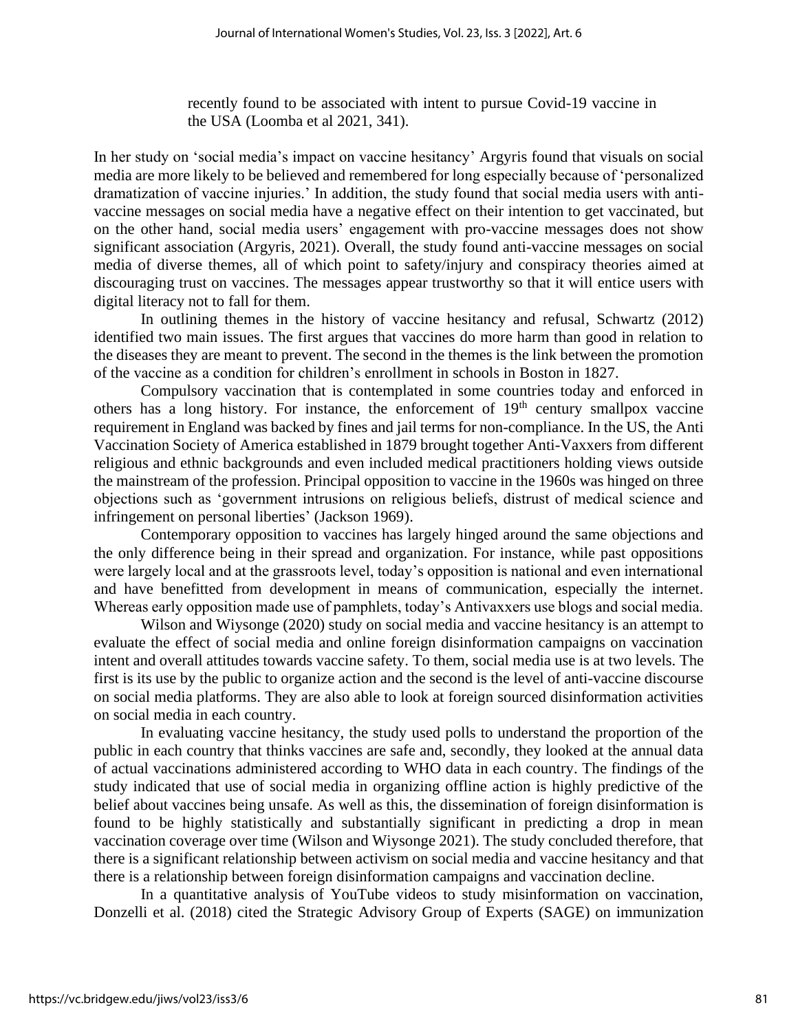recently found to be associated with intent to pursue Covid-19 vaccine in the USA (Loomba et al 2021, 341).

In her study on 'social media's impact on vaccine hesitancy' Argyris found that visuals on social media are more likely to be believed and remembered for long especially because of 'personalized dramatization of vaccine injuries.' In addition, the study found that social media users with antivaccine messages on social media have a negative effect on their intention to get vaccinated, but on the other hand, social media users' engagement with pro-vaccine messages does not show significant association (Argyris, 2021). Overall, the study found anti-vaccine messages on social media of diverse themes, all of which point to safety/injury and conspiracy theories aimed at discouraging trust on vaccines. The messages appear trustworthy so that it will entice users with digital literacy not to fall for them.

In outlining themes in the history of vaccine hesitancy and refusal, Schwartz (2012) identified two main issues. The first argues that vaccines do more harm than good in relation to the diseases they are meant to prevent. The second in the themes is the link between the promotion of the vaccine as a condition for children's enrollment in schools in Boston in 1827.

Compulsory vaccination that is contemplated in some countries today and enforced in others has a long history. For instance, the enforcement of  $19<sup>th</sup>$  century smallpox vaccine requirement in England was backed by fines and jail terms for non-compliance. In the US, the Anti Vaccination Society of America established in 1879 brought together Anti-Vaxxers from different religious and ethnic backgrounds and even included medical practitioners holding views outside the mainstream of the profession. Principal opposition to vaccine in the 1960s was hinged on three objections such as 'government intrusions on religious beliefs, distrust of medical science and infringement on personal liberties' (Jackson 1969).

Contemporary opposition to vaccines has largely hinged around the same objections and the only difference being in their spread and organization. For instance, while past oppositions were largely local and at the grassroots level, today's opposition is national and even international and have benefitted from development in means of communication, especially the internet. Whereas early opposition made use of pamphlets, today's Antivaxxers use blogs and social media.

Wilson and Wiysonge (2020) study on social media and vaccine hesitancy is an attempt to evaluate the effect of social media and online foreign disinformation campaigns on vaccination intent and overall attitudes towards vaccine safety. To them, social media use is at two levels. The first is its use by the public to organize action and the second is the level of anti-vaccine discourse on social media platforms. They are also able to look at foreign sourced disinformation activities on social media in each country.

In evaluating vaccine hesitancy, the study used polls to understand the proportion of the public in each country that thinks vaccines are safe and, secondly, they looked at the annual data of actual vaccinations administered according to WHO data in each country. The findings of the study indicated that use of social media in organizing offline action is highly predictive of the belief about vaccines being unsafe. As well as this, the dissemination of foreign disinformation is found to be highly statistically and substantially significant in predicting a drop in mean vaccination coverage over time (Wilson and Wiysonge 2021). The study concluded therefore, that there is a significant relationship between activism on social media and vaccine hesitancy and that there is a relationship between foreign disinformation campaigns and vaccination decline.

In a quantitative analysis of YouTube videos to study misinformation on vaccination, Donzelli et al. (2018) cited the Strategic Advisory Group of Experts (SAGE) on immunization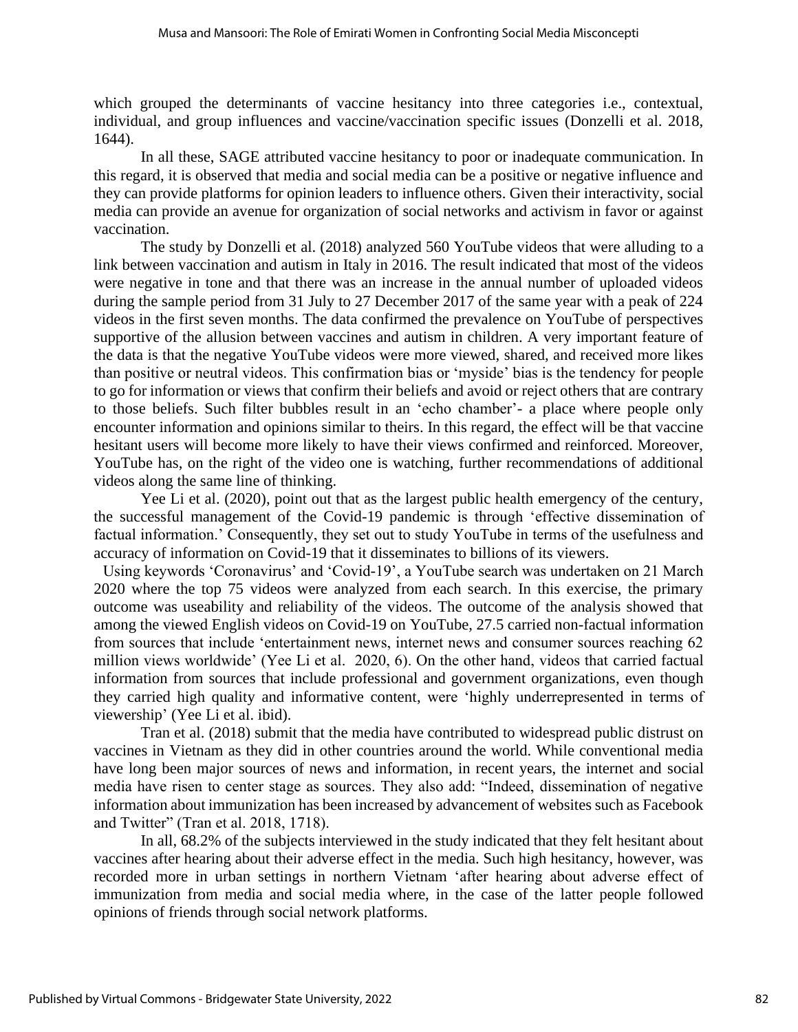which grouped the determinants of vaccine hesitancy into three categories i.e., contextual, individual, and group influences and vaccine/vaccination specific issues (Donzelli et al. 2018, 1644).

In all these, SAGE attributed vaccine hesitancy to poor or inadequate communication. In this regard, it is observed that media and social media can be a positive or negative influence and they can provide platforms for opinion leaders to influence others. Given their interactivity, social media can provide an avenue for organization of social networks and activism in favor or against vaccination.

The study by Donzelli et al. (2018) analyzed 560 YouTube videos that were alluding to a link between vaccination and autism in Italy in 2016. The result indicated that most of the videos were negative in tone and that there was an increase in the annual number of uploaded videos during the sample period from 31 July to 27 December 2017 of the same year with a peak of 224 videos in the first seven months. The data confirmed the prevalence on YouTube of perspectives supportive of the allusion between vaccines and autism in children. A very important feature of the data is that the negative YouTube videos were more viewed, shared, and received more likes than positive or neutral videos. This confirmation bias or 'myside' bias is the tendency for people to go for information or views that confirm their beliefs and avoid or reject others that are contrary to those beliefs. Such filter bubbles result in an 'echo chamber'- a place where people only encounter information and opinions similar to theirs. In this regard, the effect will be that vaccine hesitant users will become more likely to have their views confirmed and reinforced. Moreover, YouTube has, on the right of the video one is watching, further recommendations of additional videos along the same line of thinking.

Yee Li et al. (2020), point out that as the largest public health emergency of the century, the successful management of the Covid-19 pandemic is through 'effective dissemination of factual information.' Consequently, they set out to study YouTube in terms of the usefulness and accuracy of information on Covid-19 that it disseminates to billions of its viewers.

Using keywords 'Coronavirus' and 'Covid-19', a YouTube search was undertaken on 21 March 2020 where the top 75 videos were analyzed from each search. In this exercise, the primary outcome was useability and reliability of the videos. The outcome of the analysis showed that among the viewed English videos on Covid-19 on YouTube, 27.5 carried non-factual information from sources that include 'entertainment news, internet news and consumer sources reaching 62 million views worldwide' (Yee Li et al. 2020, 6). On the other hand, videos that carried factual information from sources that include professional and government organizations, even though they carried high quality and informative content, were 'highly underrepresented in terms of viewership' (Yee Li et al. ibid).

Tran et al. (2018) submit that the media have contributed to widespread public distrust on vaccines in Vietnam as they did in other countries around the world. While conventional media have long been major sources of news and information, in recent years, the internet and social media have risen to center stage as sources. They also add: "Indeed, dissemination of negative information about immunization has been increased by advancement of websites such as Facebook and Twitter" (Tran et al. 2018, 1718).

In all, 68.2% of the subjects interviewed in the study indicated that they felt hesitant about vaccines after hearing about their adverse effect in the media. Such high hesitancy, however, was recorded more in urban settings in northern Vietnam 'after hearing about adverse effect of immunization from media and social media where, in the case of the latter people followed opinions of friends through social network platforms.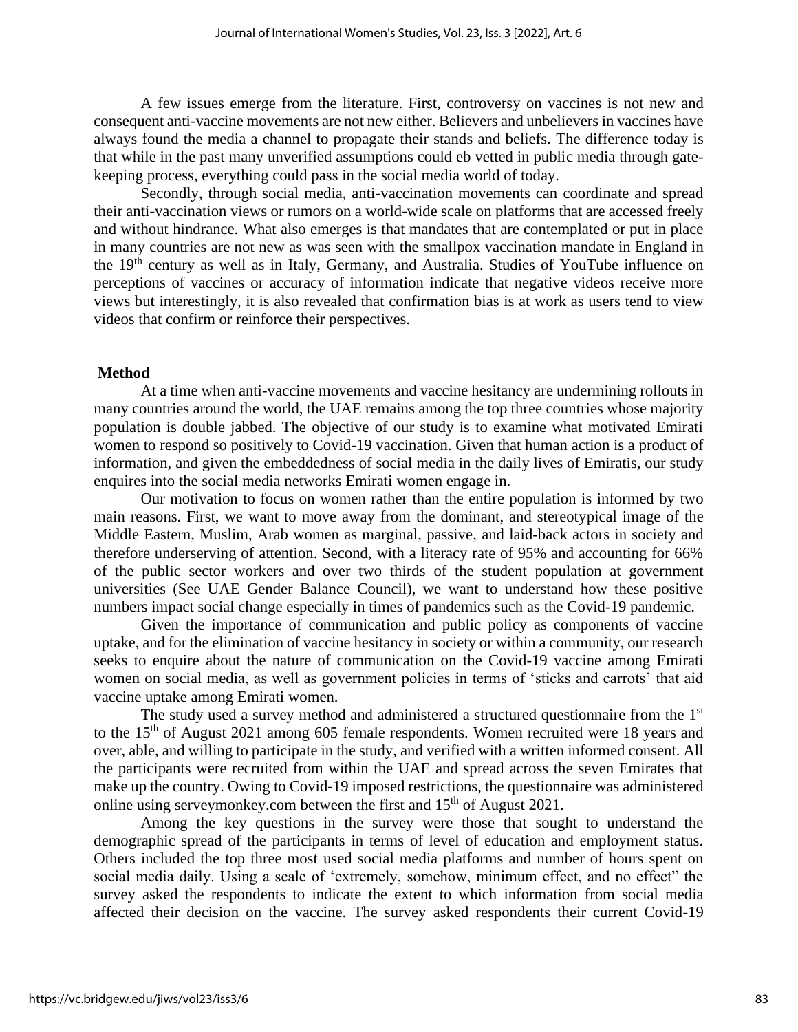A few issues emerge from the literature. First, controversy on vaccines is not new and consequent anti-vaccine movements are not new either. Believers and unbelievers in vaccines have always found the media a channel to propagate their stands and beliefs. The difference today is that while in the past many unverified assumptions could eb vetted in public media through gatekeeping process, everything could pass in the social media world of today.

Secondly, through social media, anti-vaccination movements can coordinate and spread their anti-vaccination views or rumors on a world-wide scale on platforms that are accessed freely and without hindrance. What also emerges is that mandates that are contemplated or put in place in many countries are not new as was seen with the smallpox vaccination mandate in England in the 19th century as well as in Italy, Germany, and Australia. Studies of YouTube influence on perceptions of vaccines or accuracy of information indicate that negative videos receive more views but interestingly, it is also revealed that confirmation bias is at work as users tend to view videos that confirm or reinforce their perspectives.

#### **Method**

At a time when anti-vaccine movements and vaccine hesitancy are undermining rollouts in many countries around the world, the UAE remains among the top three countries whose majority population is double jabbed. The objective of our study is to examine what motivated Emirati women to respond so positively to Covid-19 vaccination. Given that human action is a product of information, and given the embeddedness of social media in the daily lives of Emiratis, our study enquires into the social media networks Emirati women engage in.

Our motivation to focus on women rather than the entire population is informed by two main reasons. First, we want to move away from the dominant, and stereotypical image of the Middle Eastern, Muslim, Arab women as marginal, passive, and laid-back actors in society and therefore underserving of attention. Second, with a literacy rate of 95% and accounting for 66% of the public sector workers and over two thirds of the student population at government universities (See UAE Gender Balance Council), we want to understand how these positive numbers impact social change especially in times of pandemics such as the Covid-19 pandemic.

Given the importance of communication and public policy as components of vaccine uptake, and for the elimination of vaccine hesitancy in society or within a community, our research seeks to enquire about the nature of communication on the Covid-19 vaccine among Emirati women on social media, as well as government policies in terms of 'sticks and carrots' that aid vaccine uptake among Emirati women.

The study used a survey method and administered a structured questionnaire from the 1<sup>st</sup> to the  $15<sup>th</sup>$  of August 2021 among 605 female respondents. Women recruited were 18 years and over, able, and willing to participate in the study, and verified with a written informed consent. All the participants were recruited from within the UAE and spread across the seven Emirates that make up the country. Owing to Covid-19 imposed restrictions, the questionnaire was administered online using serveymonkey.com between the first and 15th of August 2021.

Among the key questions in the survey were those that sought to understand the demographic spread of the participants in terms of level of education and employment status. Others included the top three most used social media platforms and number of hours spent on social media daily. Using a scale of 'extremely, somehow, minimum effect, and no effect" the survey asked the respondents to indicate the extent to which information from social media affected their decision on the vaccine. The survey asked respondents their current Covid-19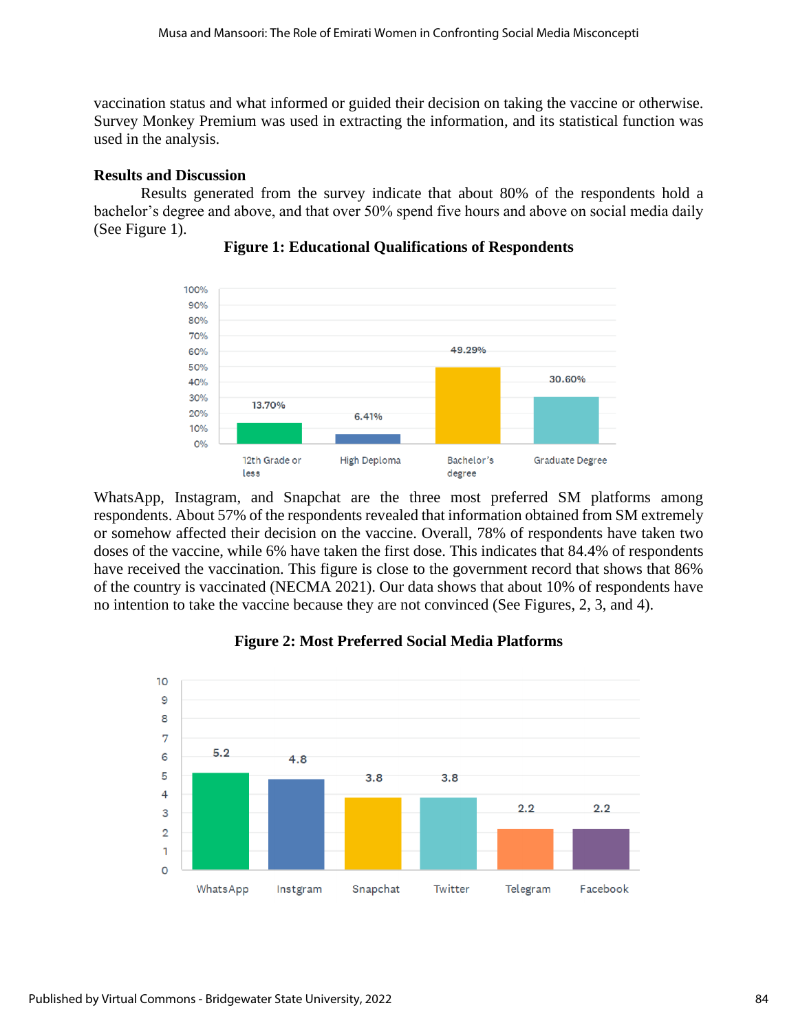vaccination status and what informed or guided their decision on taking the vaccine or otherwise. Survey Monkey Premium was used in extracting the information, and its statistical function was used in the analysis.

# **Results and Discussion**

Results generated from the survey indicate that about 80% of the respondents hold a bachelor's degree and above, and that over 50% spend five hours and above on social media daily (See Figure 1).



# **Figure 1: Educational Qualifications of Respondents**

WhatsApp, Instagram, and Snapchat are the three most preferred SM platforms among respondents. About 57% of the respondents revealed that information obtained from SM extremely or somehow affected their decision on the vaccine. Overall, 78% of respondents have taken two doses of the vaccine, while 6% have taken the first dose. This indicates that 84.4% of respondents have received the vaccination. This figure is close to the government record that shows that 86% of the country is vaccinated (NECMA 2021). Our data shows that about 10% of respondents have no intention to take the vaccine because they are not convinced (See Figures, 2, 3, and 4).



# **Figure 2: Most Preferred Social Media Platforms**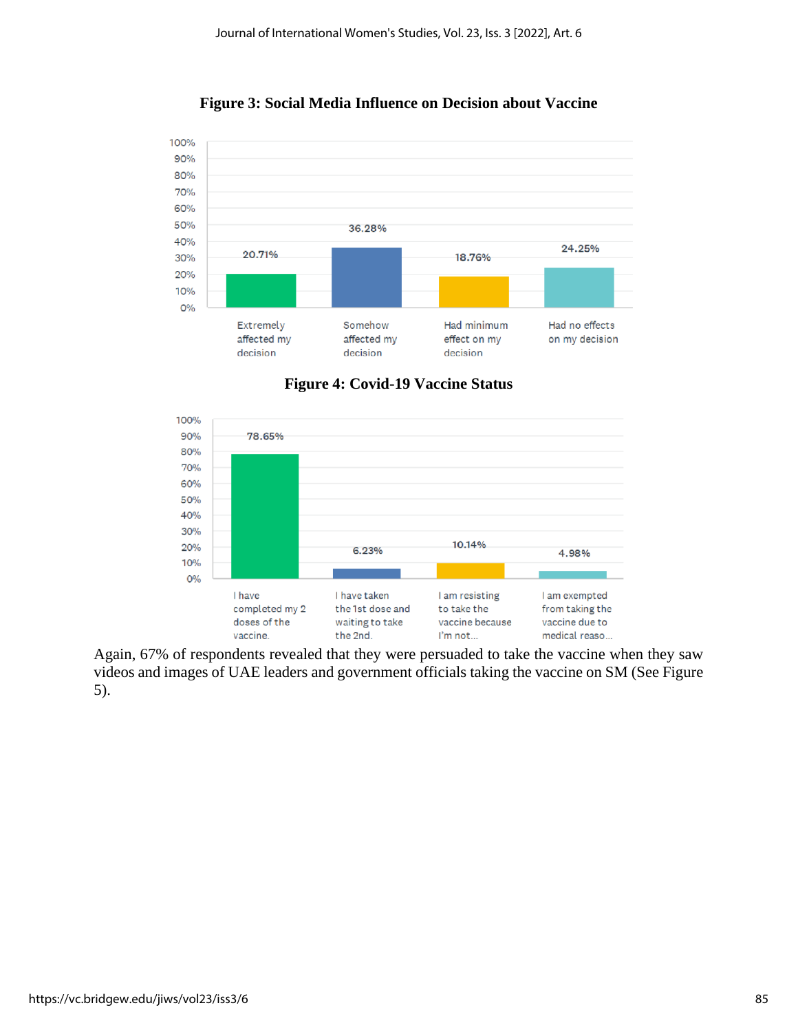

**Figure 3: Social Media Influence on Decision about Vaccine**





Again, 67% of respondents revealed that they were persuaded to take the vaccine when they saw videos and images of UAE leaders and government officials taking the vaccine on SM (See Figure 5).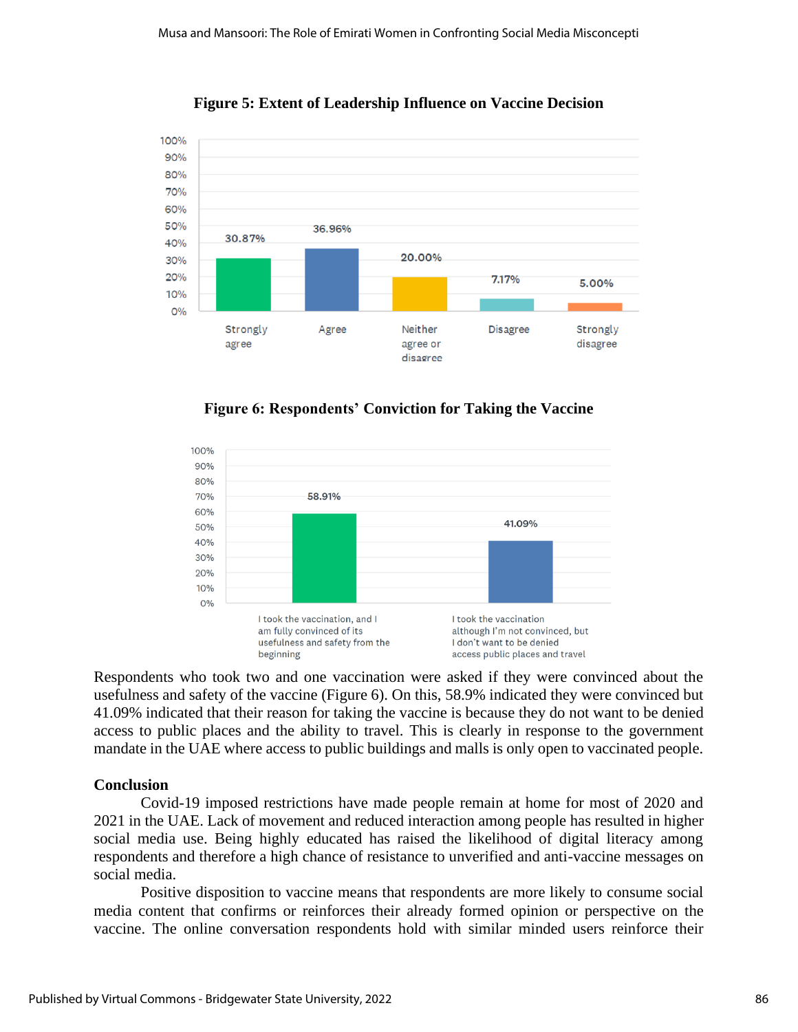

**Figure 5: Extent of Leadership Influence on Vaccine Decision** 

**Figure 6: Respondents' Conviction for Taking the Vaccine** 



Respondents who took two and one vaccination were asked if they were convinced about the usefulness and safety of the vaccine (Figure 6). On this, 58.9% indicated they were convinced but 41.09% indicated that their reason for taking the vaccine is because they do not want to be denied access to public places and the ability to travel. This is clearly in response to the government mandate in the UAE where access to public buildings and malls is only open to vaccinated people.

# **Conclusion**

Covid-19 imposed restrictions have made people remain at home for most of 2020 and 2021 in the UAE. Lack of movement and reduced interaction among people has resulted in higher social media use. Being highly educated has raised the likelihood of digital literacy among respondents and therefore a high chance of resistance to unverified and anti-vaccine messages on social media.

Positive disposition to vaccine means that respondents are more likely to consume social media content that confirms or reinforces their already formed opinion or perspective on the vaccine. The online conversation respondents hold with similar minded users reinforce their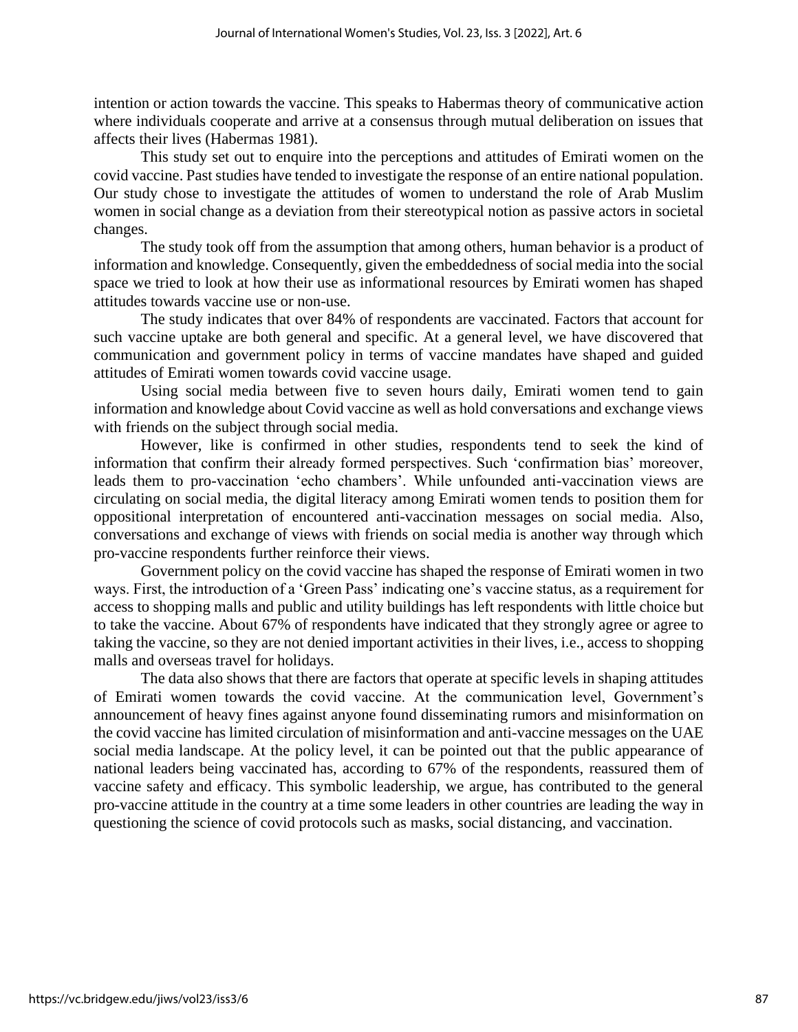intention or action towards the vaccine. This speaks to Habermas theory of communicative action where individuals cooperate and arrive at a consensus through mutual deliberation on issues that affects their lives (Habermas 1981).

This study set out to enquire into the perceptions and attitudes of Emirati women on the covid vaccine. Past studies have tended to investigate the response of an entire national population. Our study chose to investigate the attitudes of women to understand the role of Arab Muslim women in social change as a deviation from their stereotypical notion as passive actors in societal changes.

The study took off from the assumption that among others, human behavior is a product of information and knowledge. Consequently, given the embeddedness of social media into the social space we tried to look at how their use as informational resources by Emirati women has shaped attitudes towards vaccine use or non-use.

The study indicates that over 84% of respondents are vaccinated. Factors that account for such vaccine uptake are both general and specific. At a general level, we have discovered that communication and government policy in terms of vaccine mandates have shaped and guided attitudes of Emirati women towards covid vaccine usage.

Using social media between five to seven hours daily, Emirati women tend to gain information and knowledge about Covid vaccine as well as hold conversations and exchange views with friends on the subject through social media.

However, like is confirmed in other studies, respondents tend to seek the kind of information that confirm their already formed perspectives. Such 'confirmation bias' moreover, leads them to pro-vaccination 'echo chambers'. While unfounded anti-vaccination views are circulating on social media, the digital literacy among Emirati women tends to position them for oppositional interpretation of encountered anti-vaccination messages on social media. Also, conversations and exchange of views with friends on social media is another way through which pro-vaccine respondents further reinforce their views.

Government policy on the covid vaccine has shaped the response of Emirati women in two ways. First, the introduction of a 'Green Pass' indicating one's vaccine status, as a requirement for access to shopping malls and public and utility buildings has left respondents with little choice but to take the vaccine. About 67% of respondents have indicated that they strongly agree or agree to taking the vaccine, so they are not denied important activities in their lives, i.e., access to shopping malls and overseas travel for holidays.

The data also shows that there are factors that operate at specific levels in shaping attitudes of Emirati women towards the covid vaccine. At the communication level, Government's announcement of heavy fines against anyone found disseminating rumors and misinformation on the covid vaccine has limited circulation of misinformation and anti-vaccine messages on the UAE social media landscape. At the policy level, it can be pointed out that the public appearance of national leaders being vaccinated has, according to 67% of the respondents, reassured them of vaccine safety and efficacy. This symbolic leadership, we argue, has contributed to the general pro-vaccine attitude in the country at a time some leaders in other countries are leading the way in questioning the science of covid protocols such as masks, social distancing, and vaccination.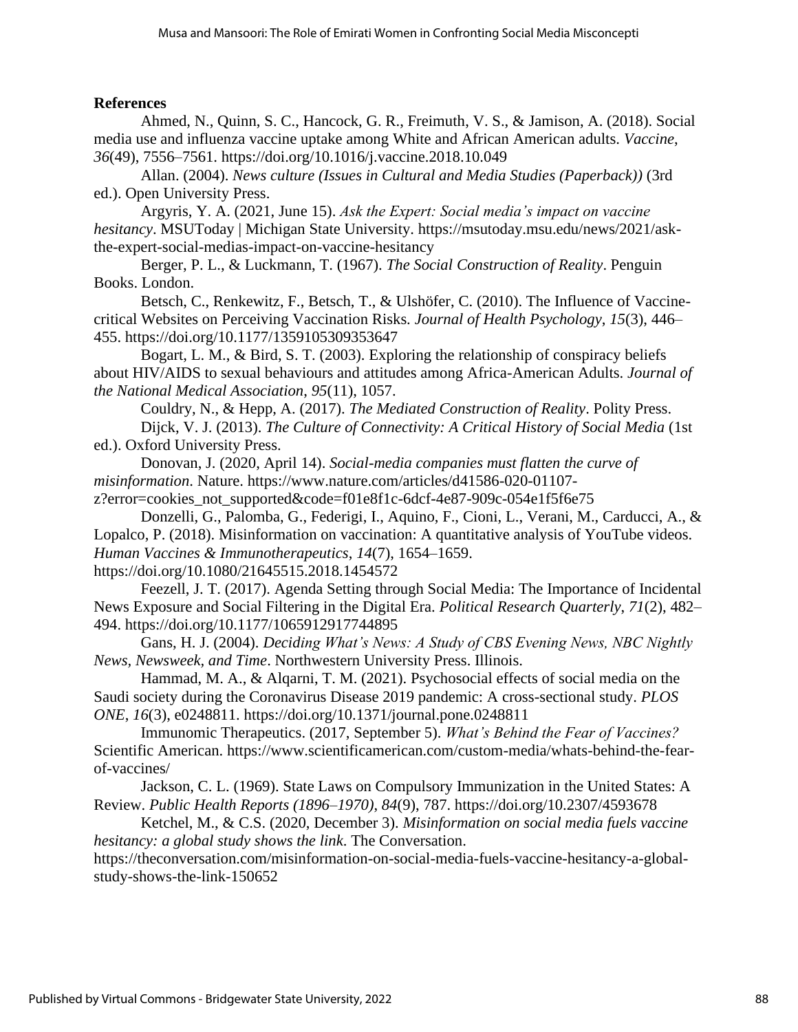### **References**

Ahmed, N., Quinn, S. C., Hancock, G. R., Freimuth, V. S., & Jamison, A. (2018). Social media use and influenza vaccine uptake among White and African American adults. *Vaccine*, *36*(49), 7556–7561. https://doi.org/10.1016/j.vaccine.2018.10.049

Allan. (2004). *News culture (Issues in Cultural and Media Studies (Paperback))* (3rd ed.). Open University Press.

Argyris, Y. A. (2021, June 15). *Ask the Expert: Social media's impact on vaccine hesitancy*. MSUToday | Michigan State University. https://msutoday.msu.edu/news/2021/askthe-expert-social-medias-impact-on-vaccine-hesitancy

Berger, P. L., & Luckmann, T. (1967). *The Social Construction of Reality*. Penguin Books. London.

Betsch, C., Renkewitz, F., Betsch, T., & Ulshöfer, C. (2010). The Influence of Vaccinecritical Websites on Perceiving Vaccination Risks. *Journal of Health Psychology*, *15*(3), 446– 455. https://doi.org/10.1177/1359105309353647

Bogart, L. M., & Bird, S. T. (2003). Exploring the relationship of conspiracy beliefs about HIV/AIDS to sexual behaviours and attitudes among Africa-American Adults. *Journal of the National Medical Association*, *95*(11), 1057.

Couldry, N., & Hepp, A. (2017). *The Mediated Construction of Reality*. Polity Press. Dijck, V. J. (2013). *The Culture of Connectivity: A Critical History of Social Media* (1st ed.). Oxford University Press.

Donovan, J. (2020, April 14). *Social-media companies must flatten the curve of misinformation*. Nature. https://www.nature.com/articles/d41586-020-01107-

z?error=cookies\_not\_supported&code=f01e8f1c-6dcf-4e87-909c-054e1f5f6e75 Donzelli, G., Palomba, G., Federigi, I., Aquino, F., Cioni, L., Verani, M., Carducci, A., &

Lopalco, P. (2018). Misinformation on vaccination: A quantitative analysis of YouTube videos. *Human Vaccines & Immunotherapeutics*, *14*(7), 1654–1659. https://doi.org/10.1080/21645515.2018.1454572

Feezell, J. T. (2017). Agenda Setting through Social Media: The Importance of Incidental News Exposure and Social Filtering in the Digital Era. *Political Research Quarterly*, *71*(2), 482– 494. https://doi.org/10.1177/1065912917744895

Gans, H. J. (2004). *Deciding What's News: A Study of CBS Evening News, NBC Nightly News, Newsweek, and Time*. Northwestern University Press. Illinois.

Hammad, M. A., & Alqarni, T. M. (2021). Psychosocial effects of social media on the Saudi society during the Coronavirus Disease 2019 pandemic: A cross-sectional study. *PLOS ONE*, *16*(3), e0248811. https://doi.org/10.1371/journal.pone.0248811

Immunomic Therapeutics. (2017, September 5). *What's Behind the Fear of Vaccines?* Scientific American. https://www.scientificamerican.com/custom-media/whats-behind-the-fearof-vaccines/

Jackson, C. L. (1969). State Laws on Compulsory Immunization in the United States: A Review. *Public Health Reports (1896–1970)*, *84*(9), 787. https://doi.org/10.2307/4593678

Ketchel, M., & C.S. (2020, December 3). *Misinformation on social media fuels vaccine hesitancy: a global study shows the link*. The Conversation.

https://theconversation.com/misinformation-on-social-media-fuels-vaccine-hesitancy-a-globalstudy-shows-the-link-150652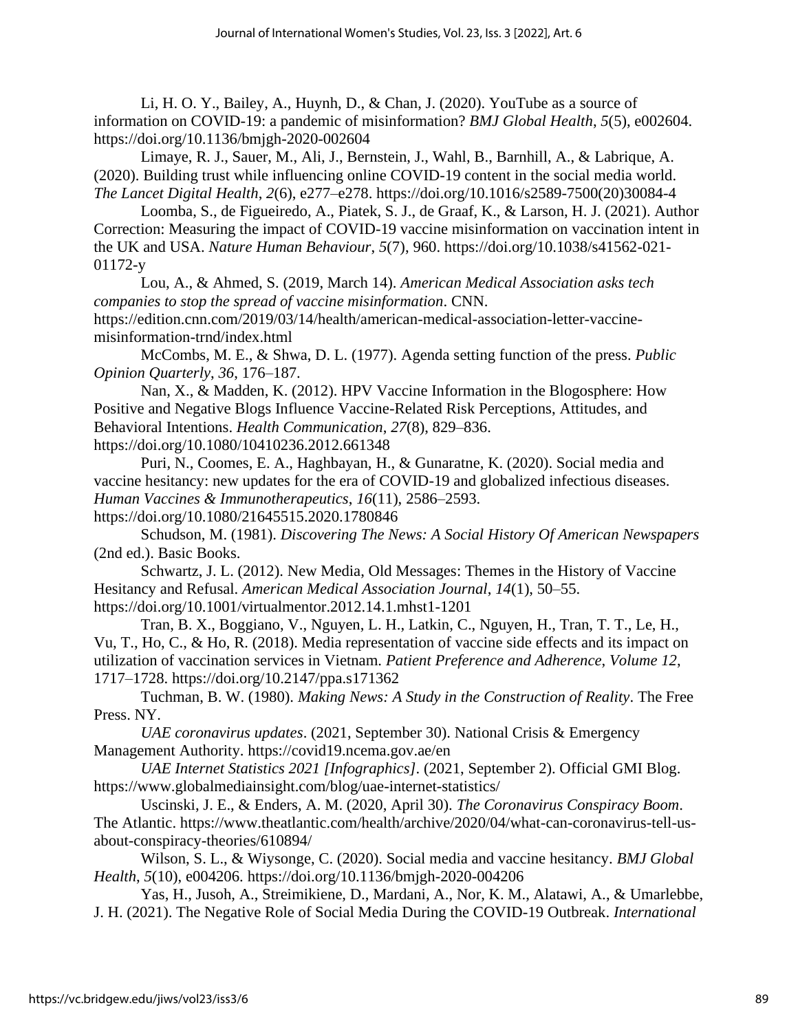Li, H. O. Y., Bailey, A., Huynh, D., & Chan, J.  $(2020)$ . YouTube as a source of information on COVID-19: a pandemic of misinformation? *BMJ Global Health*, *5*(5), e002604. https://doi.org/10.1136/bmjgh-2020-002604

Limaye, R. J., Sauer, M., Ali, J., Bernstein, J., Wahl, B., Barnhill, A., & Labrique, A. (2020). Building trust while influencing online COVID-19 content in the social media world. *The Lancet Digital Health*, *2*(6), e277–e278. https://doi.org/10.1016/s2589-7500(20)30084-4

Loomba, S., de Figueiredo, A., Piatek, S. J., de Graaf, K., & Larson, H. J. (2021). Author Correction: Measuring the impact of COVID-19 vaccine misinformation on vaccination intent in the UK and USA. *Nature Human Behaviour*, *5*(7), 960. https://doi.org/10.1038/s41562-021- 01172-y

Lou, A., & Ahmed, S. (2019, March 14). *American Medical Association asks tech companies to stop the spread of vaccine misinformation*. CNN. https://edition.cnn.com/2019/03/14/health/american-medical-association-letter-vaccinemisinformation-trnd/index.html

McCombs, M. E., & Shwa, D. L. (1977). Agenda setting function of the press. *Public Opinion Quarterly*, *36*, 176–187.

Nan, X., & Madden, K. (2012). HPV Vaccine Information in the Blogosphere: How Positive and Negative Blogs Influence Vaccine-Related Risk Perceptions, Attitudes, and Behavioral Intentions. *Health Communication*, *27*(8), 829–836. https://doi.org/10.1080/10410236.2012.661348

Puri, N., Coomes, E. A., Haghbayan, H., & Gunaratne, K. (2020). Social media and vaccine hesitancy: new updates for the era of COVID-19 and globalized infectious diseases. *Human Vaccines & Immunotherapeutics*, *16*(11), 2586–2593.

https://doi.org/10.1080/21645515.2020.1780846

Schudson, M. (1981). *Discovering The News: A Social History Of American Newspapers* (2nd ed.). Basic Books.

Schwartz, J. L. (2012). New Media, Old Messages: Themes in the History of Vaccine Hesitancy and Refusal. *American Medical Association Journal*, *14*(1), 50–55. https://doi.org/10.1001/virtualmentor.2012.14.1.mhst1-1201

Tran, B. X., Boggiano, V., Nguyen, L. H., Latkin, C., Nguyen, H., Tran, T. T., Le, H., Vu, T., Ho, C., & Ho, R. (2018). Media representation of vaccine side effects and its impact on utilization of vaccination services in Vietnam. *Patient Preference and Adherence*, *Volume 12*, 1717–1728. https://doi.org/10.2147/ppa.s171362

Tuchman, B. W. (1980). *Making News: A Study in the Construction of Reality*. The Free Press. NY.

*UAE coronavirus updates*. (2021, September 30). National Crisis & Emergency Management Authority. https://covid19.ncema.gov.ae/en

*UAE Internet Statistics 2021 [Infographics]*. (2021, September 2). Official GMI Blog. https://www.globalmediainsight.com/blog/uae-internet-statistics/

Uscinski, J. E., & Enders, A. M. (2020, April 30). *The Coronavirus Conspiracy Boom*. The Atlantic. https://www.theatlantic.com/health/archive/2020/04/what-can-coronavirus-tell-usabout-conspiracy-theories/610894/

Wilson, S. L., & Wiysonge, C. (2020). Social media and vaccine hesitancy. *BMJ Global Health*, *5*(10), e004206. https://doi.org/10.1136/bmjgh-2020-004206

Yas, H., Jusoh, A., Streimikiene, D., Mardani, A., Nor, K. M., Alatawi, A., & Umarlebbe, J. H. (2021). The Negative Role of Social Media During the COVID-19 Outbreak. *International*